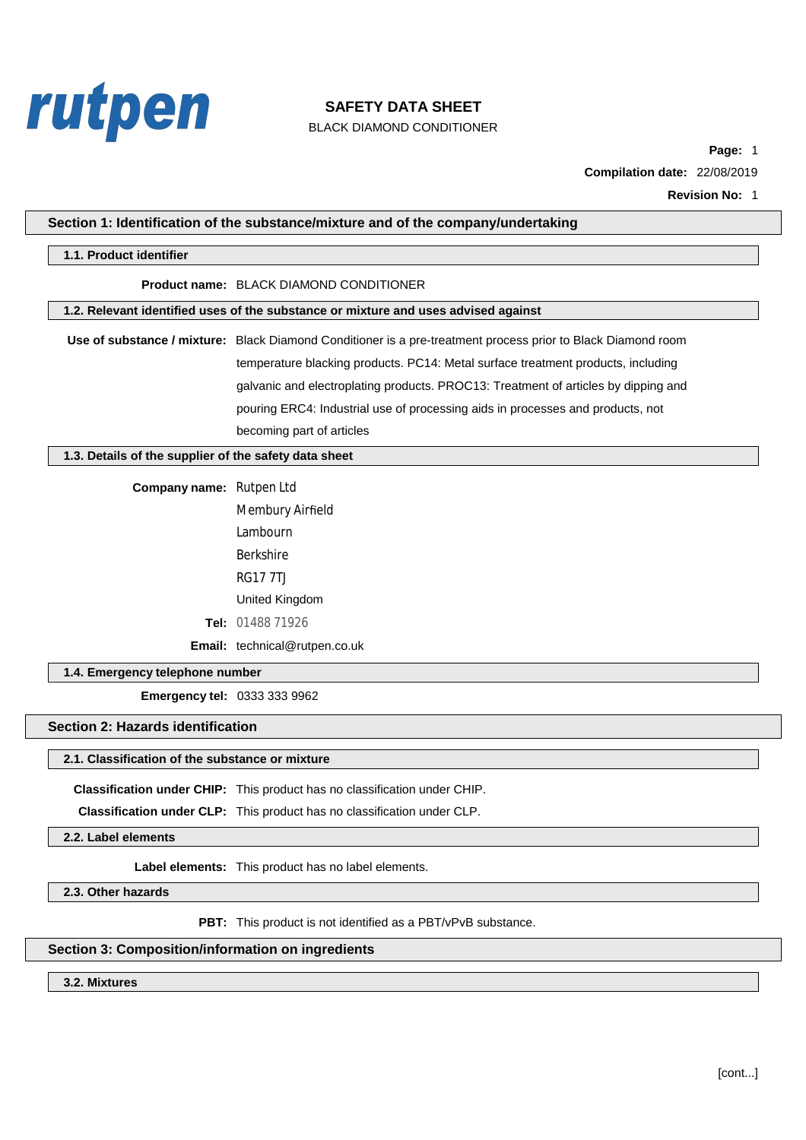

BLACK DIAMOND CONDITIONER

**Page:** 1 **Compilation date:** 22/08/2019

**Revision No:** 1

### **Section 1: Identification of the substance/mixture and of the company/undertaking**

### **1.1. Product identifier**

#### **Product name:** BLACK DIAMOND CONDITIONER

**1.2. Relevant identified uses of the substance or mixture and uses advised against**

**Use of substance / mixture:** Black Diamond Conditioner is a pre-treatment process prior to Black Diamond room temperature blacking products. PC14: Metal surface treatment products, including galvanic and electroplating products. PROC13: Treatment of articles by dipping and pouring ERC4: Industrial use of processing aids in processes and products, not becoming part of articles

### **1.3. Details of the supplier of the safety data sheet**

**Company name:** Rutpen Ltd

Membury Airfield Lambourn Berkshire RG17 7TJ United Kingdom **Tel:** 01488 71926

**Email:** technical@rutpen.co.uk

### **1.4. Emergency telephone nu[mber](mailto:enquiries@walsall-chemical.co.uk)**

**Emergency tel:** 0333 333 9962

### **Section 2: Hazards identification**

#### **2.1. Classification of the substance or mixture**

**Classification under CHIP:** This product has no classification under CHIP.

**Classification under CLP:** This product has no classification under CLP.

**2.2. Label elements**

**Label elements:** This product has no label elements.

**2.3. Other hazards**

**PBT:** This product is not identified as a PBT/vPvB substance.

### **Section 3: Composition/information on ingredients**

**3.2. Mixtures**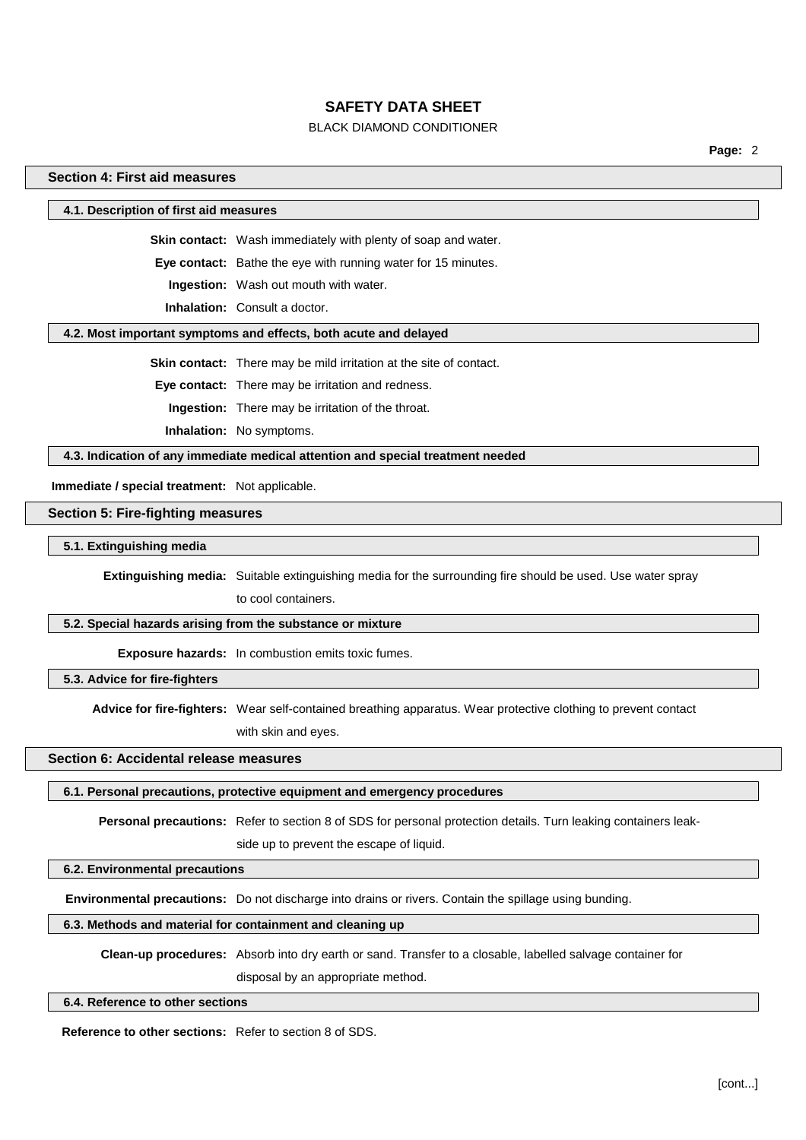#### **BLACK DIAMOND CONDITIONER**

Page: 2

### Section 4: First aid measures

4.1. Description of first aid measures

Skin contact: Wash immediately with plenty of soap and water.

Eye contact: Bathe the eye with running water for 15 minutes.

Ingestion: Wash out mouth with water.

**Inhalation:** Consult a doctor.

#### 4.2. Most important symptoms and effects, both acute and delayed

Skin contact: There may be mild irritation at the site of contact.

Eye contact: There may be irritation and redness.

Ingestion: There may be irritation of the throat.

Inhalation: No symptoms.

4.3. Indication of any immediate medical attention and special treatment needed

Immediate / special treatment: Not applicable.

#### **Section 5: Fire-fighting measures**

5.1. Extinguishing media

Extinguishing media: Suitable extinguishing media for the surrounding fire should be used. Use water spray

to cool containers.

### 5.2. Special hazards arising from the substance or mixture

Exposure hazards: In combustion emits toxic fumes.

5.3. Advice for fire-fighters

Advice for fire-fighters: Wear self-contained breathing apparatus. Wear protective clothing to prevent contact with skin and eyes.

#### Section 6: Accidental release measures

### 6.1. Personal precautions, protective equipment and emergency procedures

Personal precautions: Refer to section 8 of SDS for personal protection details. Turn leaking containers leak-

side up to prevent the escape of liquid.

#### 6.2. Environmental precautions

Environmental precautions: Do not discharge into drains or rivers. Contain the spillage using bunding.

# 6.3. Methods and material for containment and cleaning up

Clean-up procedures: Absorb into dry earth or sand. Transfer to a closable, labelled salvage container for

disposal by an appropriate method.

#### 6.4. Reference to other sections

**Reference to other sections:** Refer to section 8 of SDS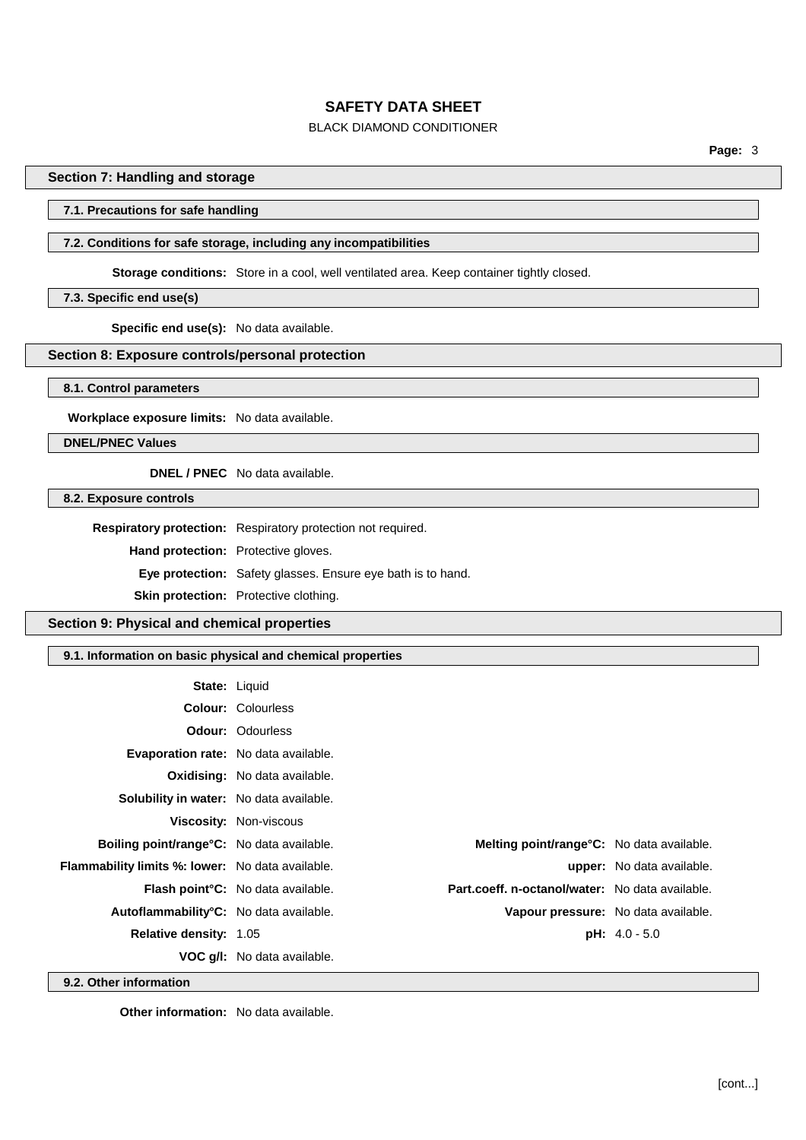## **BLACK DIAMOND CONDITIONER**

## Section 7: Handling and storage

### 7.1. Precautions for safe handling

### 7.2. Conditions for safe storage, including any incompatibilities

Storage conditions: Store in a cool, well ventilated area. Keep container tightly closed.

### 7.3. Specific end use(s)

Specific end use(s): No data available.

### Section 8: Exposure controls/personal protection

8.1. Control parameters

Workplace exposure limits: No data available.

**DNEL/PNEC Values** 

**DNEL / PNEC** No data available.

8.2. Exposure controls

Respiratory protection: Respiratory protection not required.

Hand protection: Protective gloves.

Eye protection: Safety glasses. Ensure eye bath is to hand.

Skin protection: Protective clothing.

Section 9: Physical and chemical properties

9.1. Information on basic physical and chemical properties

|                                                         | <b>State: Liquid</b>                      |                                                 |                           |
|---------------------------------------------------------|-------------------------------------------|-------------------------------------------------|---------------------------|
|                                                         | <b>Colour: Colourless</b>                 |                                                 |                           |
|                                                         | <b>Odour: Odourless</b>                   |                                                 |                           |
| <b>Evaporation rate:</b> No data available.             |                                           |                                                 |                           |
|                                                         | <b>Oxidising:</b> No data available.      |                                                 |                           |
| <b>Solubility in water:</b> No data available.          |                                           |                                                 |                           |
|                                                         | <b>Viscosity: Non-viscous</b>             |                                                 |                           |
| <b>Boiling point/range °C:</b> No data available.       |                                           | Melting point/range°C: No data available.       |                           |
| <b>Flammability limits %: lower:</b> No data available. |                                           |                                                 | upper: No data available. |
|                                                         | <b>Flash point °C:</b> No data available. | Part.coeff. n-octanol/water: No data available. |                           |
| Autoflammability <sup>°</sup> C: No data available.     |                                           | Vapour pressure: No data available.             |                           |
| <b>Relative density: 1.05</b>                           |                                           |                                                 | $pH: 4.0 - 5.0$           |
|                                                         | <b>VOC q/I:</b> No data available.        |                                                 |                           |

9.2. Other information

Other information: No data available.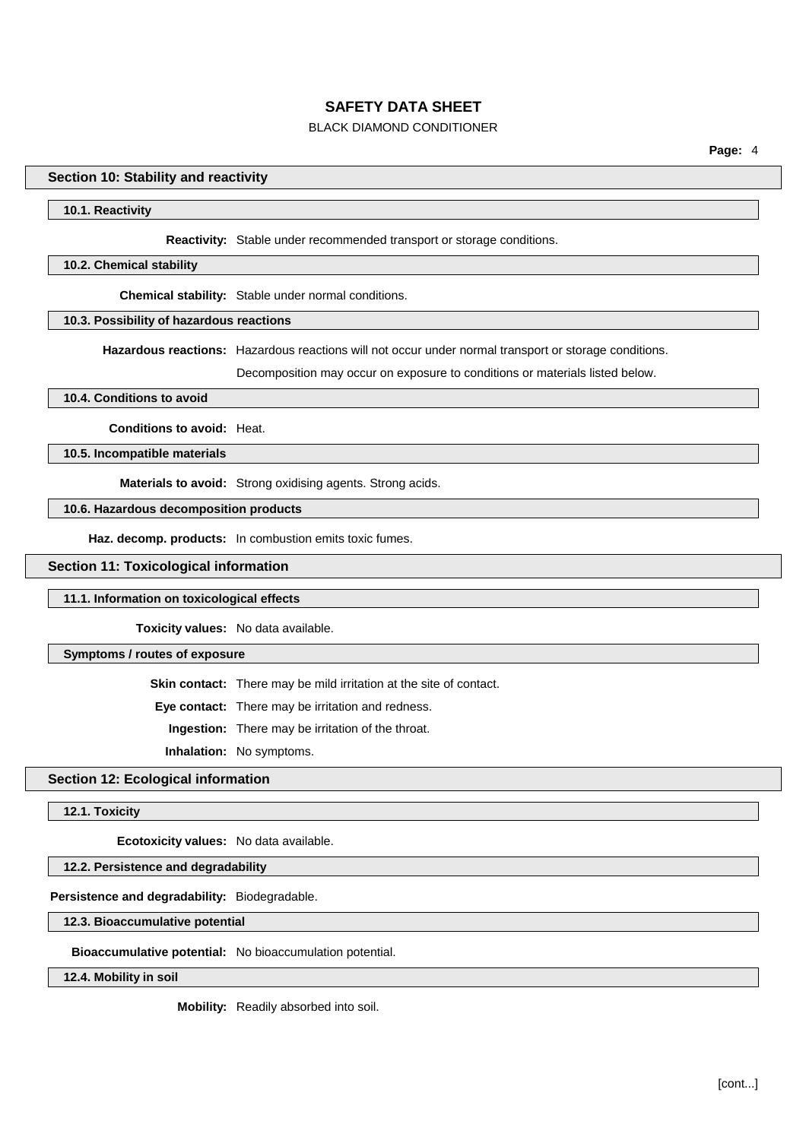## **BLACK DIAMOND CONDITIONER**

### Section 10: Stability and reactivity

#### 10.1. Reactivity

Reactivity: Stable under recommended transport or storage conditions.

#### 10.2. Chemical stability

Chemical stability: Stable under normal conditions.

# 10.3. Possibility of hazardous reactions

Hazardous reactions: Hazardous reactions will not occur under normal transport or storage conditions.

Decomposition may occur on exposure to conditions or materials listed below.

#### 10.4. Conditions to avoid

Conditions to avoid: Heat.

10.5. Incompatible materials

Materials to avoid: Strong oxidising agents. Strong acids.

10.6. Hazardous decomposition products

Haz. decomp. products: In combustion emits toxic fumes.

**Section 11: Toxicological information** 

### 11.1. Information on toxicological effects

Toxicity values: No data available.

#### Symptoms / routes of exposure

Skin contact: There may be mild irritation at the site of contact.

Eye contact: There may be irritation and redness.

Ingestion: There may be irritation of the throat.

Inhalation: No symptoms.

### **Section 12: Ecological information**

12.1. Toxicity

Ecotoxicity values: No data available.

12.2. Persistence and degradability

Persistence and degradability: Biodegradable.

12.3. Bioaccumulative potential

Bioaccumulative potential: No bioaccumulation potential.

12.4. Mobility in soil

Mobility: Readily absorbed into soil.